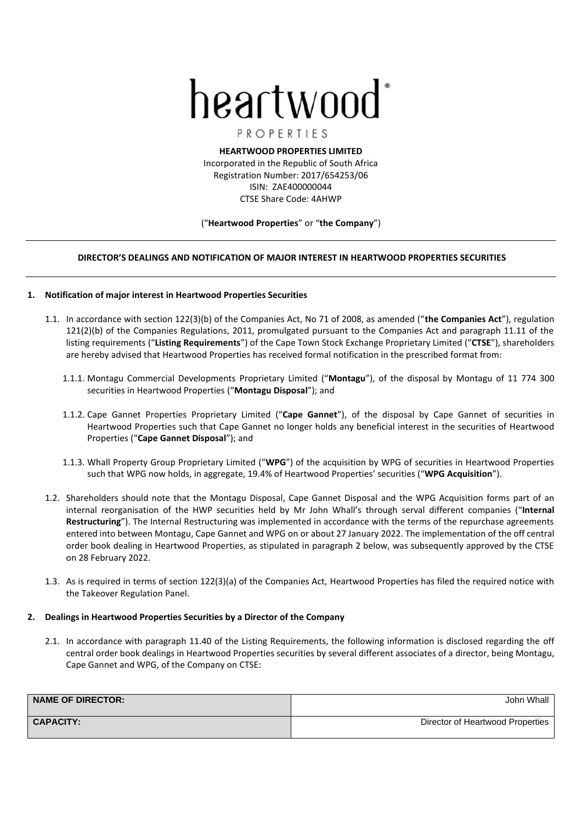# heartwood

PROPERTIES

**HEARTWOOD PROPERTIES LIMITED** Incorporated in the Republic of South Africa Registration Number: 2017/654253/06 ISIN: ZAE400000044 CTSE Share Code: 4AHWP

## ("**Heartwood Properties**" or "**the Company**")

# **DIRECTOR'S DEALINGS AND NOTIFICATION OF MAJOR INTEREST IN HEARTWOOD PROPERTIES SECURITIES**

## **1. Notification of major interest in Heartwood Properties Securities**

- 1.1. In accordance with section 122(3)(b) of the Companies Act, No 71 of 2008, as amended ("**the Companies Act**"), regulation 121(2)(b) of the Companies Regulations, 2011, promulgated pursuant to the Companies Act and paragraph 11.11 of the listing requirements ("**Listing Requirements**") of the Cape Town Stock Exchange Proprietary Limited ("**CTSE**"), shareholders are hereby advised that Heartwood Properties has received formal notification in the prescribed format from:
	- 1.1.1. Montagu Commercial Developments Proprietary Limited ("**Montagu**"), of the disposal by Montagu of 11 774 300 securities in Heartwood Properties ("**Montagu Disposal**"); and
	- 1.1.2. Cape Gannet Properties Proprietary Limited ("**Cape Gannet**"), of the disposal by Cape Gannet of securities in Heartwood Properties such that Cape Gannet no longer holds any beneficial interest in the securities of Heartwood Properties ("**Cape Gannet Disposal**"); and
	- 1.1.3. Whall Property Group Proprietary Limited ("**WPG**") of the acquisition by WPG of securities in Heartwood Properties such that WPG now holds, in aggregate, 19.4% of Heartwood Properties' securities ("**WPG Acquisition**").
- 1.2. Shareholders should note that the Montagu Disposal, Cape Gannet Disposal and the WPG Acquisition forms part of an internal reorganisation of the HWP securities held by Mr John Whall's through serval different companies ("**Internal Restructuring**"). The Internal Restructuring was implemented in accordance with the terms of the repurchase agreements entered into between Montagu, Cape Gannet and WPG on or about 27 January 2022. The implementation of the off central order book dealing in Heartwood Properties, as stipulated in paragraph 2 below, was subsequently approved by the CTSE on 28 February 2022.
- 1.3. As is required in terms of section 122(3)(a) of the Companies Act, Heartwood Properties has filed the required notice with the Takeover Regulation Panel.

# **2. Dealings in Heartwood Properties Securities by a Director of the Company**

2.1. In accordance with paragraph 11.40 of the Listing Requirements, the following information is disclosed regarding the off central order book dealings in Heartwood Properties securities by several different associates of a director, being Montagu, Cape Gannet and WPG, of the Company on CTSE:

| <b>NAME OF DIRECTOR:</b> | John Whall                       |
|--------------------------|----------------------------------|
| <b>CAPACITY:</b>         | Director of Heartwood Properties |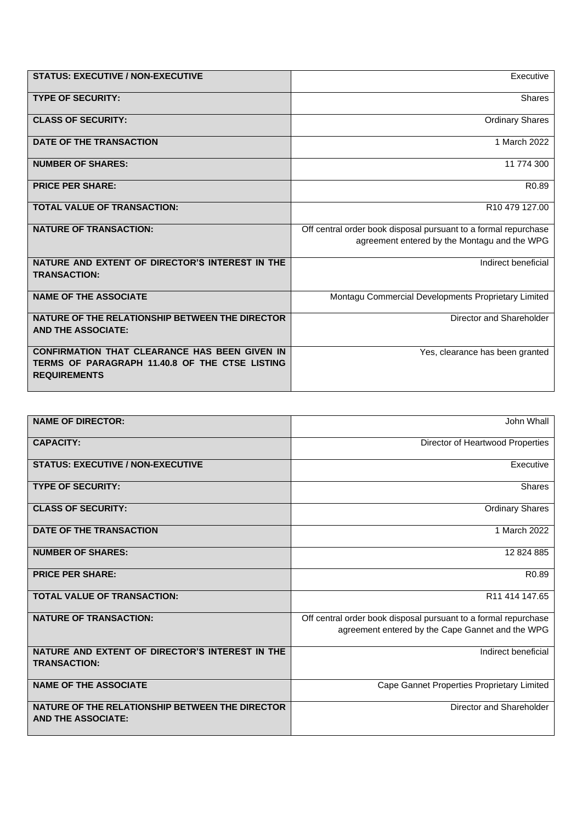| <b>STATUS: EXECUTIVE / NON-EXECUTIVE</b>                                                                                      | Executive                                                       |
|-------------------------------------------------------------------------------------------------------------------------------|-----------------------------------------------------------------|
| <b>TYPE OF SECURITY:</b>                                                                                                      | Shares                                                          |
| <b>CLASS OF SECURITY:</b>                                                                                                     | <b>Ordinary Shares</b>                                          |
| DATE OF THE TRANSACTION                                                                                                       | 1 March 2022                                                    |
| <b>NUMBER OF SHARES:</b>                                                                                                      | 11 774 300                                                      |
| <b>PRICE PER SHARE:</b>                                                                                                       | R <sub>0.89</sub>                                               |
| <b>TOTAL VALUE OF TRANSACTION:</b>                                                                                            | R <sub>10</sub> 479 127.00                                      |
| <b>NATURE OF TRANSACTION:</b>                                                                                                 | Off central order book disposal pursuant to a formal repurchase |
|                                                                                                                               | agreement entered by the Montagu and the WPG                    |
| NATURE AND EXTENT OF DIRECTOR'S INTEREST IN THE<br><b>TRANSACTION:</b>                                                        | Indirect beneficial                                             |
| <b>NAME OF THE ASSOCIATE</b>                                                                                                  | Montagu Commercial Developments Proprietary Limited             |
| NATURE OF THE RELATIONSHIP BETWEEN THE DIRECTOR<br><b>AND THE ASSOCIATE:</b>                                                  | Director and Shareholder                                        |
| <b>CONFIRMATION THAT CLEARANCE HAS BEEN GIVEN IN</b><br>TERMS OF PARAGRAPH 11.40.8 OF THE CTSE LISTING<br><b>REQUIREMENTS</b> | Yes, clearance has been granted                                 |

| <b>NAME OF DIRECTOR:</b>                                                     | John Whall                                                                                                          |
|------------------------------------------------------------------------------|---------------------------------------------------------------------------------------------------------------------|
| <b>CAPACITY:</b>                                                             | Director of Heartwood Properties                                                                                    |
| <b>STATUS: EXECUTIVE / NON-EXECUTIVE</b>                                     | Executive                                                                                                           |
| <b>TYPE OF SECURITY:</b>                                                     | Shares                                                                                                              |
| <b>CLASS OF SECURITY:</b>                                                    | <b>Ordinary Shares</b>                                                                                              |
| DATE OF THE TRANSACTION                                                      | 1 March 2022                                                                                                        |
| <b>NUMBER OF SHARES:</b>                                                     | 12 824 885                                                                                                          |
| <b>PRICE PER SHARE:</b>                                                      | R <sub>0.89</sub>                                                                                                   |
| <b>TOTAL VALUE OF TRANSACTION:</b>                                           | R11 414 147.65                                                                                                      |
| <b>NATURE OF TRANSACTION:</b>                                                | Off central order book disposal pursuant to a formal repurchase<br>agreement entered by the Cape Gannet and the WPG |
| NATURE AND EXTENT OF DIRECTOR'S INTEREST IN THE<br><b>TRANSACTION:</b>       | Indirect beneficial                                                                                                 |
| <b>NAME OF THE ASSOCIATE</b>                                                 | Cape Gannet Properties Proprietary Limited                                                                          |
| NATURE OF THE RELATIONSHIP BETWEEN THE DIRECTOR<br><b>AND THE ASSOCIATE:</b> | Director and Shareholder                                                                                            |